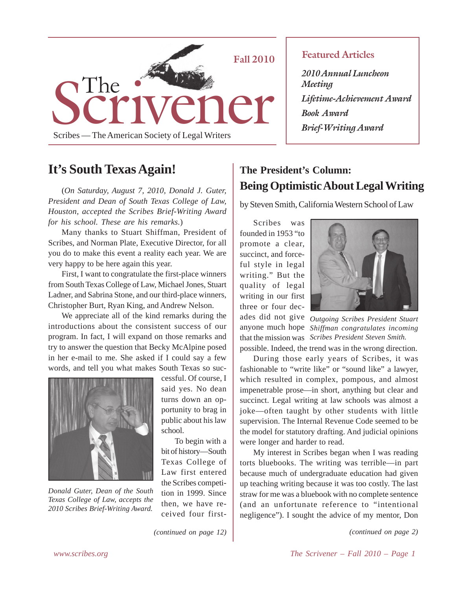

## **It's South Texas Again!**

(*On Saturday, August 7, 2010, Donald J. Guter, President and Dean of South Texas College of Law, Houston, accepted the Scribes Brief-Writing Award for his school. These are his remarks.*)

Many thanks to Stuart Shiffman, President of Scribes, and Norman Plate, Executive Director, for all you do to make this event a reality each year. We are very happy to be here again this year.

First, I want to congratulate the first-place winners from South Texas College of Law, Michael Jones, Stuart Ladner, and Sabrina Stone, and our third-place winners, Christopher Burt, Ryan King, and Andrew Nelson.

We appreciate all of the kind remarks during the introductions about the consistent success of our program. In fact, I will expand on those remarks and try to answer the question that Becky McAlpine posed in her e-mail to me. She asked if I could say a few words, and tell you what makes South Texas so suc-



*Donald Guter, Dean of the South Texas College of Law, accepts the 2010 Scribes Brief-Writing Award.*

cessful. Of course, I said yes. No dean turns down an opportunity to brag in public about his law school.

To begin with a bit of history—South Texas College of Law first entered the Scribes competition in 1999. Since then, we have received four first-

*(continued on page 12)*

## **Featured Articles**

*2010 Annual Luncheon Meeting Lifetime-Achievement Award Book Award Brief-Writing Award*

## **The President's Column: Being Optimistic About Legal Writing**

by Steven Smith, California Western School of Law

Scribes was founded in 1953 "to promote a clear, succinct, and forceful style in legal writing." But the quality of legal writing in our first three or four dec-



ades did not give *Outgoing Scribes President Stuart* anyone much hope *Shiffman congratulates incoming* that the mission was *Scribes President Steven Smith.*

possible. Indeed, the trend was in the wrong direction.

During those early years of Scribes, it was fashionable to "write like" or "sound like" a lawyer, which resulted in complex, pompous, and almost impenetrable prose—in short, anything but clear and succinct. Legal writing at law schools was almost a joke—often taught by other students with little supervision. The Internal Revenue Code seemed to be the model for statutory drafting. And judicial opinions were longer and harder to read.

My interest in Scribes began when I was reading torts bluebooks. The writing was terrible—in part because much of undergraduate education had given up teaching writing because it was too costly. The last straw for me was a bluebook with no complete sentence (and an unfortunate reference to "intentional negligence"). I sought the advice of my mentor, Don

*(continued on page 2)*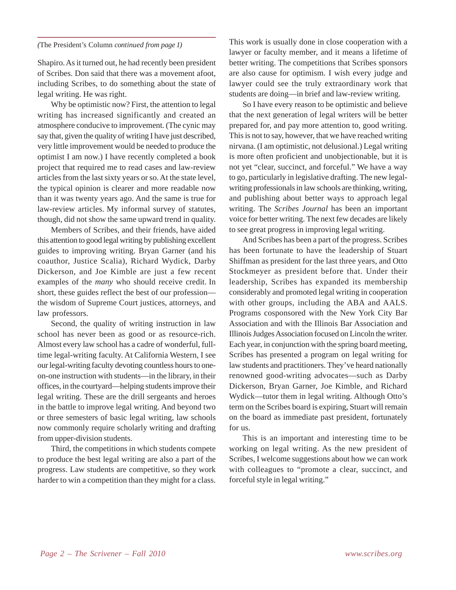### *(*The President's Column *continued from page 1)*

Shapiro. As it turned out, he had recently been president of Scribes. Don said that there was a movement afoot, including Scribes, to do something about the state of legal writing. He was right.

Why be optimistic now? First, the attention to legal writing has increased significantly and created an atmosphere conducive to improvement. (The cynic may say that, given the quality of writing I have just described, very little improvement would be needed to produce the optimist I am now.) I have recently completed a book project that required me to read cases and law-review articles from the last sixty years or so. At the state level, the typical opinion is clearer and more readable now than it was twenty years ago. And the same is true for law-review articles. My informal survey of statutes, though, did not show the same upward trend in quality.

Members of Scribes, and their friends, have aided this attention to good legal writing by publishing excellent guides to improving writing. Bryan Garner (and his coauthor, Justice Scalia), Richard Wydick, Darby Dickerson, and Joe Kimble are just a few recent examples of the *many* who should receive credit. In short, these guides reflect the best of our profession the wisdom of Supreme Court justices, attorneys, and law professors.

Second, the quality of writing instruction in law school has never been as good or as resource-rich. Almost every law school has a cadre of wonderful, fulltime legal-writing faculty. At California Western, I see our legal-writing faculty devoting countless hours to oneon-one instruction with students—in the library, in their offices, in the courtyard—helping students improve their legal writing. These are the drill sergeants and heroes in the battle to improve legal writing. And beyond two or three semesters of basic legal writing, law schools now commonly require scholarly writing and drafting from upper-division students.

Third, the competitions in which students compete to produce the best legal writing are also a part of the progress. Law students are competitive, so they work harder to win a competition than they might for a class. This work is usually done in close cooperation with a lawyer or faculty member, and it means a lifetime of better writing. The competitions that Scribes sponsors are also cause for optimism. I wish every judge and lawyer could see the truly extraordinary work that students are doing—in brief and law-review writing.

So I have every reason to be optimistic and believe that the next generation of legal writers will be better prepared for, and pay more attention to, good writing. This is not to say, however, that we have reached writing nirvana. (I am optimistic, not delusional.) Legal writing is more often proficient and unobjectionable, but it is not yet "clear, succinct, and forceful." We have a way to go, particularly in legislative drafting. The new legalwriting professionals in law schools are thinking, writing, and publishing about better ways to approach legal writing. The *Scribes Journal* has been an important voice for better writing. The next few decades are likely to see great progress in improving legal writing.

And Scribes has been a part of the progress. Scribes has been fortunate to have the leadership of Stuart Shiffman as president for the last three years, and Otto Stockmeyer as president before that. Under their leadership, Scribes has expanded its membership considerably and promoted legal writing in cooperation with other groups, including the ABA and AALS. Programs cosponsored with the New York City Bar Association and with the Illinois Bar Association and Illinois Judges Association focused on Lincoln the writer. Each year, in conjunction with the spring board meeting, Scribes has presented a program on legal writing for law students and practitioners. They've heard nationally renowned good-writing advocates—such as Darby Dickerson, Bryan Garner, Joe Kimble, and Richard Wydick—tutor them in legal writing. Although Otto's term on the Scribes board is expiring, Stuart will remain on the board as immediate past president, fortunately for us.

This is an important and interesting time to be working on legal writing. As the new president of Scribes, I welcome suggestions about how we can work with colleagues to "promote a clear, succinct, and forceful style in legal writing."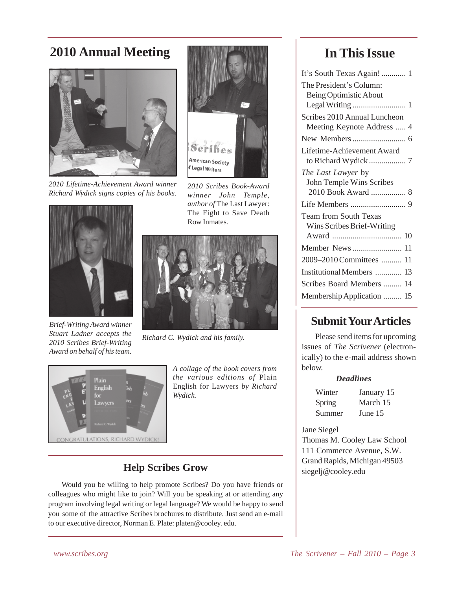# **2010 Annual Meeting**



*2010 Lifetime-Achievement Award winner Richard Wydick signs copies of his books.*



*2010 Scribes Book-Award winner John Temple, author of* The Last Lawyer: The Fight to Save Death Row Inmates*.*



*Brief-Writing Award winner Stuart Ladner accepts the 2010 Scribes Brief-Writing Award on behalf of his team.*



*Richard C. Wydick and his family.*



*A collage of the book covers from the various editions of* Plain English for Lawyers *by Richard Wydick.*

## **Help Scribes Grow**

Would you be willing to help promote Scribes? Do you have friends or colleagues who might like to join? Will you be speaking at or attending any program involving legal writing or legal language? We would be happy to send you some of the attractive Scribes brochures to distribute. Just send an e-mail to our executive director, Norman E. Plate: platen@cooley. edu.

## **In This Issue**

| It's South Texas Again! 1    |
|------------------------------|
| The President's Column:      |
| Being Optimistic About       |
|                              |
| Scribes 2010 Annual Luncheon |
| Meeting Keynote Address  4   |
|                              |
| Lifetime-Achievement Award   |
|                              |
| The Last Lawyer by           |
| John Temple Wins Scribes     |
|                              |
|                              |
| <b>Team from South Texas</b> |
| Wins Scribes Brief-Writing   |
| 10                           |
| Member News<br>11            |
| 2009-2010 Committees<br>11   |
| Institutional Members<br>13  |
| Scribes Board Members<br>14  |
| Membership Application<br>15 |

## **Submit Your Articles**

Please send items for upcoming issues of *The Scrivener* (electronically) to the e-mail address shown below.

## *Deadlines*

| Winter | January 15 |
|--------|------------|
| Spring | March 15   |
| Summer | June 15    |

Jane Siegel

Thomas M. Cooley Law School 111 Commerce Avenue, S.W. Grand Rapids, Michigan 49503 siegelj@cooley.edu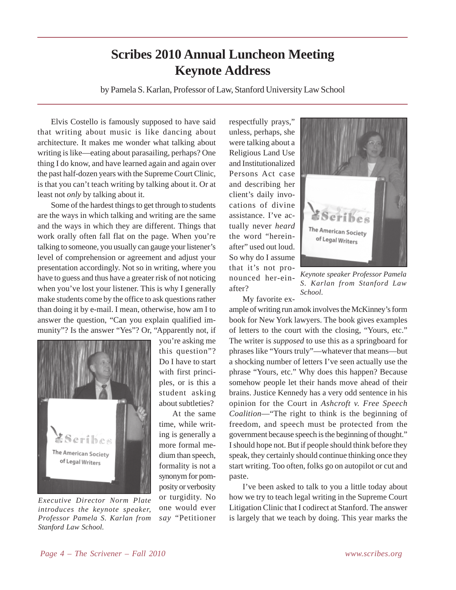# **Scribes 2010 Annual Luncheon Meeting Keynote Address**

by Pamela S. Karlan, Professor of Law, Stanford University Law School

Elvis Costello is famously supposed to have said that writing about music is like dancing about architecture. It makes me wonder what talking about writing is like—eating about parasailing, perhaps? One thing I do know, and have learned again and again over the past half-dozen years with the Supreme Court Clinic, is that you can't teach writing by talking about it. Or at least not *only* by talking about it.

Some of the hardest things to get through to students are the ways in which talking and writing are the same and the ways in which they are different. Things that work orally often fall flat on the page. When you're talking to someone, you usually can gauge your listener's level of comprehension or agreement and adjust your presentation accordingly. Not so in writing, where you have to guess and thus have a greater risk of not noticing when you've lost your listener. This is why I generally make students come by the office to ask questions rather than doing it by e-mail. I mean, otherwise, how am I to answer the question, "Can you explain qualified immunity"? Is the answer "Yes"? Or, "Apparently not, if



*Executive Director Norm Plate introduces the keynote speaker, Professor Pamela S. Karlan from Stanford Law School.*

you're asking me this question"? Do I have to start with first principles, or is this a student asking about subtleties?

At the same time, while writing is generally a more formal medium than speech, formality is not a synonym for pomposity or verbosity or turgidity. No one would ever *say* "Petitioner

respectfully prays," unless, perhaps, she were talking about a Religious Land Use and Institutionalized Persons Act case and describing her client's daily invocations of divine assistance. I've actually never *heard* the word "hereinafter" used out loud. So why do I assume that it's not pronounced her-einafter?



*Keynote speaker Professor Pamela S. Karlan from Stanford Law School.*

My favorite ex-

ample of writing run amok involves the McKinney's form book for New York lawyers. The book gives examples of letters to the court with the closing, "Yours, etc." The writer is *supposed* to use this as a springboard for phrases like "Yours truly"—whatever that means—but a shocking number of letters I've seen actually use the phrase "Yours, etc." Why does this happen? Because somehow people let their hands move ahead of their brains. Justice Kennedy has a very odd sentence in his opinion for the Court in *Ashcroft v. Free Speech Coalition*—"The right to think is the beginning of freedom, and speech must be protected from the government because speech is the beginning of thought." I should hope not. But if people should think before they speak, they certainly should continue thinking once they start writing. Too often, folks go on autopilot or cut and paste.

I've been asked to talk to you a little today about how we try to teach legal writing in the Supreme Court Litigation Clinic that I codirect at Stanford. The answer is largely that we teach by doing. This year marks the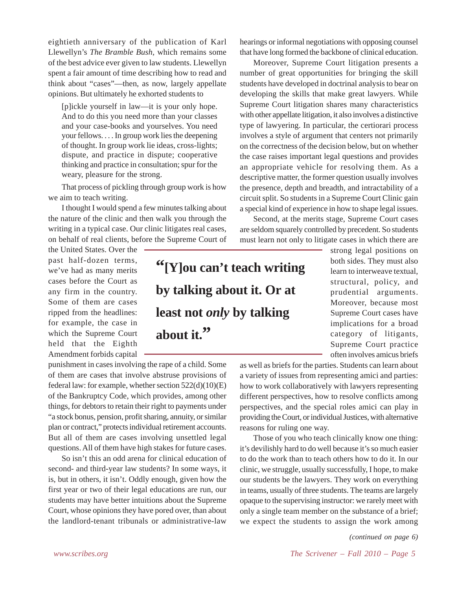eightieth anniversary of the publication of Karl Llewellyn's *The Bramble Bush*, which remains some of the best advice ever given to law students. Llewellyn spent a fair amount of time describing how to read and think about "cases"—then, as now, largely appellate opinions. But ultimately he exhorted students to

[p]ickle yourself in law—it is your only hope. And to do this you need more than your classes and your case-books and yourselves. You need your fellows. . . . In group work lies the deepening of thought. In group work lie ideas, cross-lights; dispute, and practice in dispute; cooperative thinking and practice in consultation; spur for the weary, pleasure for the strong.

That process of pickling through group work is how we aim to teach writing.

I thought I would spend a few minutes talking about the nature of the clinic and then walk you through the writing in a typical case. Our clinic litigates real cases, on behalf of real clients, before the Supreme Court of

the United States. Over the past half-dozen terms, we've had as many merits cases before the Court as any firm in the country. Some of them are cases ripped from the headlines: for example, the case in which the Supreme Court held that the Eighth Amendment forbids capital

punishment in cases involving the rape of a child. Some of them are cases that involve abstruse provisions of federal law: for example, whether section  $522(d)(10)(E)$ of the Bankruptcy Code, which provides, among other things, for debtors to retain their right to payments under "a stock bonus, pension, profit sharing, annuity, or similar plan or contract," protects individual retirement accounts. But all of them are cases involving unsettled legal questions. All of them have high stakes for future cases.

So isn't this an odd arena for clinical education of second- and third-year law students? In some ways, it is, but in others, it isn't. Oddly enough, given how the first year or two of their legal educations are run, our students may have better intuitions about the Supreme Court, whose opinions they have pored over, than about the landlord-tenant tribunals or administrative-law

hearings or informal negotiations with opposing counsel that have long formed the backbone of clinical education.

Moreover, Supreme Court litigation presents a number of great opportunities for bringing the skill students have developed in doctrinal analysis to bear on developing the skills that make great lawyers. While Supreme Court litigation shares many characteristics with other appellate litigation, it also involves a distinctive type of lawyering. In particular, the certiorari process involves a style of argument that centers not primarily on the correctness of the decision below, but on whether the case raises important legal questions and provides an appropriate vehicle for resolving them. As a descriptive matter, the former question usually involves the presence, depth and breadth, and intractability of a circuit split. So students in a Supreme Court Clinic gain a special kind of experience in how to shape legal issues.

Second, at the merits stage, Supreme Court cases are seldom squarely controlled by precedent. So students must learn not only to litigate cases in which there are

**"[Y]ou can't teach writing by talking about it. Or at least not** *only* **by talking** about it.<sup>"</sup>

strong legal positions on both sides. They must also learn to interweave textual, structural, policy, and prudential arguments. Moreover, because most Supreme Court cases have implications for a broad category of litigants, Supreme Court practice often involves amicus briefs

as well as briefs for the parties. Students can learn about a variety of issues from representing amici and parties: how to work collaboratively with lawyers representing different perspectives, how to resolve conflicts among perspectives, and the special roles amici can play in providing the Court, or individual Justices, with alternative reasons for ruling one way.

Those of you who teach clinically know one thing: it's devilishly hard to do well because it's so much easier to do the work than to teach others how to do it. In our clinic, we struggle, usually successfully, I hope, to make our students be the lawyers. They work on everything in teams, usually of three students. The teams are largely opaque to the supervising instructor: we rarely meet with only a single team member on the substance of a brief; we expect the students to assign the work among

*(continued on page 6)*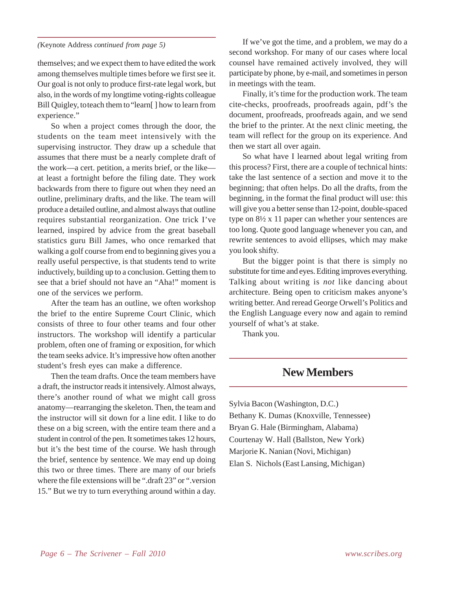### *(*Keynote Address *continued from page 5)*

themselves; and we expect them to have edited the work among themselves multiple times before we first see it. Our goal is not only to produce first-rate legal work, but also, in the words of my longtime voting-rights colleague Bill Quigley, to teach them to "learn[ ] how to learn from experience."

So when a project comes through the door, the students on the team meet intensively with the supervising instructor. They draw up a schedule that assumes that there must be a nearly complete draft of the work—a cert. petition, a merits brief, or the like at least a fortnight before the filing date. They work backwards from there to figure out when they need an outline, preliminary drafts, and the like. The team will produce a detailed outline, and almost always that outline requires substantial reorganization. One trick I've learned, inspired by advice from the great baseball statistics guru Bill James, who once remarked that walking a golf course from end to beginning gives you a really useful perspective*,* is that students tend to write inductively, building up to a conclusion. Getting them to see that a brief should not have an "Aha!" moment is one of the services we perform.

After the team has an outline, we often workshop the brief to the entire Supreme Court Clinic, which consists of three to four other teams and four other instructors. The workshop will identify a particular problem, often one of framing or exposition, for which the team seeks advice. It's impressive how often another student's fresh eyes can make a difference.

Then the team drafts. Once the team members have a draft, the instructor reads it intensively. Almost always, there's another round of what we might call gross anatomy—rearranging the skeleton. Then, the team and the instructor will sit down for a line edit. I like to do these on a big screen, with the entire team there and a student in control of the pen. It sometimes takes 12 hours, but it's the best time of the course. We hash through the brief, sentence by sentence. We may end up doing this two or three times. There are many of our briefs where the file extensions will be ".draft 23" or ".version 15." But we try to turn everything around within a day.

If we've got the time, and a problem, we may do a second workshop. For many of our cases where local counsel have remained actively involved, they will participate by phone, by e-mail, and sometimes in person in meetings with the team.

Finally, it's time for the production work. The team cite-checks, proofreads, proofreads again, pdf's the document, proofreads, proofreads again, and we send the brief to the printer. At the next clinic meeting, the team will reflect for the group on its experience. And then we start all over again.

So what have I learned about legal writing from this process? First, there are a couple of technical hints: take the last sentence of a section and move it to the beginning; that often helps. Do all the drafts, from the beginning, in the format the final product will use: this will give you a better sense than 12-point, double-spaced type on 8½ x 11 paper can whether your sentences are too long. Quote good language whenever you can, and rewrite sentences to avoid ellipses, which may make you look shifty.

But the bigger point is that there is simply no substitute for time and eyes. Editing improves everything. Talking about writing is *not* like dancing about architecture. Being open to criticism makes anyone's writing better. And reread George Orwell's Politics and the English Language every now and again to remind yourself of what's at stake.

Thank you.

## **New Members**

Sylvia Bacon (Washington, D.C.) Bethany K. Dumas (Knoxville, Tennessee) Bryan G. Hale (Birmingham, Alabama) Courtenay W. Hall (Ballston, New York) Marjorie K. Nanian (Novi, Michigan) Elan S. Nichols (East Lansing, Michigan)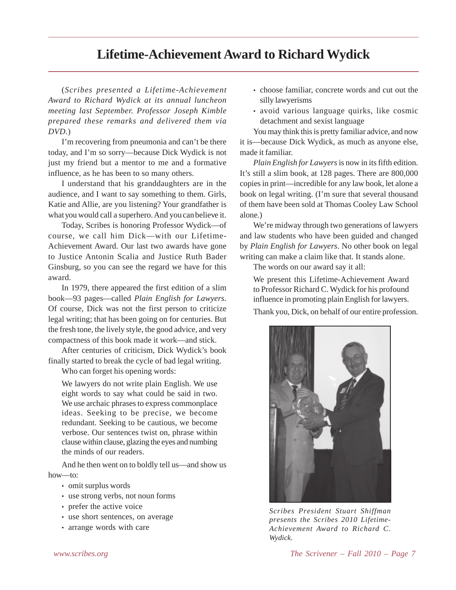# **Lifetime-Achievement Award to Richard Wydick**

(*Scribes presented a Lifetime-Achievement Award to Richard Wydick at its annual luncheon meeting last September. Professor Joseph Kimble prepared these remarks and delivered them via DVD.*)

I'm recovering from pneumonia and can't be there today, and I'm so sorry—because Dick Wydick is not just my friend but a mentor to me and a formative influence, as he has been to so many others.

I understand that his granddaughters are in the audience, and I want to say something to them. Girls, Katie and Allie, are you listening? Your grandfather is what you would call a superhero. And you can believe it.

Today, Scribes is honoring Professor Wydick—of course, we call him Dick—with our Lifetime-Achievement Award. Our last two awards have gone to Justice Antonin Scalia and Justice Ruth Bader Ginsburg, so you can see the regard we have for this award.

In 1979, there appeared the first edition of a slim book—93 pages—called *Plain English for Lawyers*. Of course, Dick was not the first person to criticize legal writing; that has been going on for centuries. But the fresh tone, the lively style, the good advice, and very compactness of this book made it work—and stick.

After centuries of criticism, Dick Wydick's book finally started to break the cycle of bad legal writing.

Who can forget his opening words:

We lawyers do not write plain English. We use eight words to say what could be said in two. We use archaic phrases to express commonplace ideas. Seeking to be precise, we become redundant. Seeking to be cautious, we become verbose. Our sentences twist on, phrase within clause within clause, glazing the eyes and numbing the minds of our readers.

And he then went on to boldly tell us—and show us how—to:

- omit surplus words
- use strong verbs, not noun forms
- prefer the active voice
- use short sentences, on average
- arrange words with care
- choose familiar, concrete words and cut out the silly lawyerisms
- avoid various language quirks, like cosmic detachment and sexist language

You may think this is pretty familiar advice, and now it is—because Dick Wydick, as much as anyone else, made it familiar.

*Plain English for Lawyers* is now in its fifth edition. It's still a slim book, at 128 pages. There are 800,000 copies in print—incredible for any law book, let alone a book on legal writing. (I'm sure that several thousand of them have been sold at Thomas Cooley Law School alone.)

We're midway through two generations of lawyers and law students who have been guided and changed by *Plain English for Lawyers*. No other book on legal writing can make a claim like that. It stands alone.

The words on our award say it all:

We present this Lifetime-Achievement Award to Professor Richard C. Wydick for his profound influence in promoting plain English for lawyers.

Thank you, Dick, on behalf of our entire profession.



*Scribes President Stuart Shiffman presents the Scribes 2010 Lifetime-Achievement Award to Richard C. Wydick.*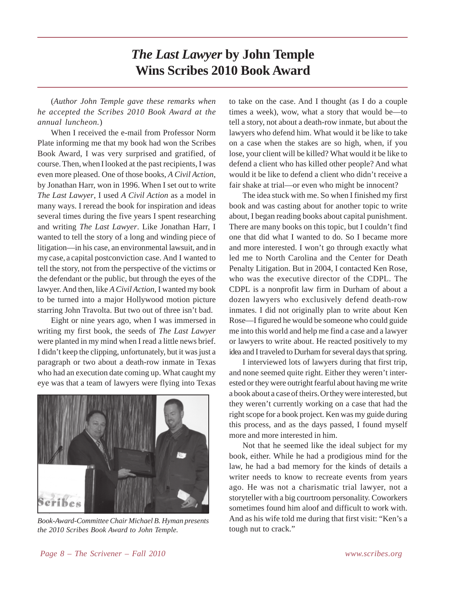# *The Last Lawyer* **by John Temple Wins Scribes 2010 Book Award**

(*Author John Temple gave these remarks when he accepted the Scribes 2010 Book Award at the annual luncheon.*)

When I received the e-mail from Professor Norm Plate informing me that my book had won the Scribes Book Award, I was very surprised and gratified, of course. Then, when I looked at the past recipients, I was even more pleased. One of those books, *A Civil Action*, by Jonathan Harr, won in 1996. When I set out to write *The Last Lawyer*, I used *A Civil Action* as a model in many ways. I reread the book for inspiration and ideas several times during the five years I spent researching and writing *The Last Lawyer*. Like Jonathan Harr, I wanted to tell the story of a long and winding piece of litigation—in his case, an environmental lawsuit, and in my case, a capital postconviction case. And I wanted to tell the story, not from the perspective of the victims or the defendant or the public, but through the eyes of the lawyer. And then, like *A Civil Action*, I wanted my book to be turned into a major Hollywood motion picture starring John Travolta. But two out of three isn't bad.

Eight or nine years ago, when I was immersed in writing my first book, the seeds of *The Last Lawyer* were planted in my mind when I read a little news brief. I didn't keep the clipping, unfortunately, but it was just a paragraph or two about a death-row inmate in Texas who had an execution date coming up. What caught my eye was that a team of lawyers were flying into Texas



*Book-Award-Committee Chair Michael B. Hyman presents the 2010 Scribes Book Award to John Temple.*

to take on the case. And I thought (as I do a couple times a week), wow, what a story that would be—to tell a story, not about a death-row inmate, but about the lawyers who defend him. What would it be like to take on a case when the stakes are so high, when, if you lose, your client will be killed? What would it be like to defend a client who has killed other people? And what would it be like to defend a client who didn't receive a fair shake at trial—or even who might be innocent?

The idea stuck with me. So when I finished my first book and was casting about for another topic to write about, I began reading books about capital punishment. There are many books on this topic, but I couldn't find one that did what I wanted to do. So I became more and more interested. I won't go through exactly what led me to North Carolina and the Center for Death Penalty Litigation. But in 2004, I contacted Ken Rose, who was the executive director of the CDPL. The CDPL is a nonprofit law firm in Durham of about a dozen lawyers who exclusively defend death-row inmates. I did not originally plan to write about Ken Rose—I figured he would be someone who could guide me into this world and help me find a case and a lawyer or lawyers to write about. He reacted positively to my idea and I traveled to Durham for several days that spring.

I interviewed lots of lawyers during that first trip, and none seemed quite right. Either they weren't interested or they were outright fearful about having me write a book about a case of theirs. Or they were interested, but they weren't currently working on a case that had the right scope for a book project. Ken was my guide during this process, and as the days passed, I found myself more and more interested in him.

Not that he seemed like the ideal subject for my book, either. While he had a prodigious mind for the law, he had a bad memory for the kinds of details a writer needs to know to recreate events from years ago. He was not a charismatic trial lawyer, not a storyteller with a big courtroom personality. Coworkers sometimes found him aloof and difficult to work with. And as his wife told me during that first visit: "Ken's a tough nut to crack."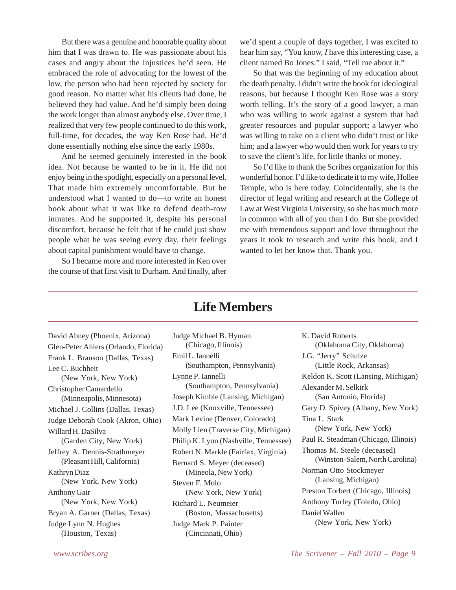But there was a genuine and honorable quality about him that I was drawn to. He was passionate about his cases and angry about the injustices he'd seen. He embraced the role of advocating for the lowest of the low, the person who had been rejected by society for good reason. No matter what his clients had done, he believed they had value. And he'd simply been doing the work longer than almost anybody else. Over time, I realized that very few people continued to do this work, full-time, for decades, the way Ken Rose had. He'd done essentially nothing else since the early 1980s.

And he seemed genuinely interested in the book idea. Not because he wanted to be in it. He did not enjoy being in the spotlight, especially on a personal level. That made him extremely uncomfortable. But he understood what I wanted to do—to write an honest book about what it was like to defend death-row inmates. And he supported it, despite his personal discomfort, because he felt that if he could just show people what he was seeing every day, their feelings about capital punishment would have to change.

So I became more and more interested in Ken over the course of that first visit to Durham. And finally, after

we'd spent a couple of days together, I was excited to hear him say, "You know, *I* have this interesting case, a client named Bo Jones." I said, "Tell me about it."

So that was the beginning of my education about the death penalty. I didn't write the book for ideological reasons, but because I thought Ken Rose was a story worth telling. It's the story of a good lawyer, a man who was willing to work against a system that had greater resources and popular support; a lawyer who was willing to take on a client who didn't trust or like him; and a lawyer who would then work for years to try to save the client's life, for little thanks or money.

So I'd like to thank the Scribes organization for this wonderful honor. I'd like to dedicate it to my wife, Hollee Temple, who is here today. Coincidentally, she is the director of legal writing and research at the College of Law at West Virginia University, so she has much more in common with all of you than I do. But she provided me with tremendous support and love throughout the years it took to research and write this book, and I wanted to let her know that. Thank you.

## **Life Members**

David Abney (Phoenix, Arizona) Glen-Peter Ahlers (Orlando, Florida) Frank L. Branson (Dallas, Texas) Lee C. Buchheit (New York, New York) Christopher Camardello (Minneapolis, Minnesota) Michael J. Collins (Dallas, Texas) Judge Deborah Cook (Akron, Ohio) Willard H. DaSilva (Garden City, New York) Jeffrey A. Dennis-Strathmeyer (Pleasant Hill, California) Kathryn Diaz (New York, New York) Anthony Gair (New York, New York) Bryan A. Garner (Dallas, Texas) Judge Lynn N. Hughes (Houston, Texas)

Judge Michael B. Hyman (Chicago, Illinois) Emil L. Iannelli (Southampton, Pennsylvania) Lynne P. Iannelli (Southampton, Pennsylvania) Joseph Kimble (Lansing, Michigan) J.D. Lee (Knoxville, Tennessee) Mark Levine (Denver, Colorado) Molly Lien (Traverse City, Michigan) Philip K. Lyon (Nashville, Tennessee) Robert N. Markle (Fairfax, Virginia) Bernard S. Meyer (deceased) (Mineola, New York) Steven F. Molo (New York, New York) Richard L. Neumeier (Boston, Massachusetts) Judge Mark P. Painter (Cincinnati, Ohio)

K. David Roberts (Oklahoma City, Oklahoma) J.G. "Jerry" Schulze (Little Rock, Arkansas) Keldon K. Scott (Lansing, Michigan) Alexander M. Selkirk (San Antonio, Florida) Gary D. Spivey (Albany, New York) Tina L. Stark (New York, New York) Paul R. Steadman (Chicago, Illinois) Thomas M. Steele (deceased) (Winston-Salem, North Carolina) Norman Otto Stockmeyer (Lansing, Michigan) Preston Torbert (Chicago, Illinois) Anthony Turley (Toledo, Ohio) Daniel Wallen (New York, New York)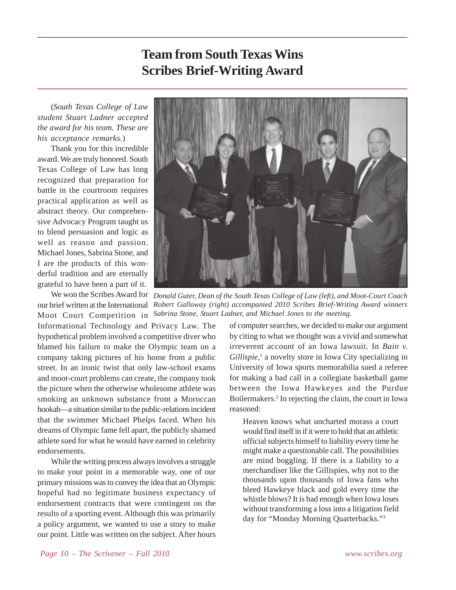# **Team from South Texas Wins Scribes Brief-Writing Award**

(*South Texas College of Law student Stuart Ladner accepted the award for his team. These are his acceptance remarks.*)

Thank you for this incredible award. We are truly honored. South Texas College of Law has long recognized that preparation for battle in the courtroom requires practical application as well as abstract theory. Our comprehensive Advocacy Program taught us to blend persuasion and logic as well as reason and passion. Michael Jones, Sabrina Stone, and I are the products of this wonderful tradition and are eternally grateful to have been a part of it.

Moot Court Competition in *Sabrina Stone, Stuart Ladner, and Michael Jones to the meeting.*Informational Technology and Privacy Law. The hypothetical problem involved a competitive diver who blamed his failure to make the Olympic team on a company taking pictures of his home from a public street. In an ironic twist that only law-school exams and moot-court problems can create, the company took the picture when the otherwise wholesome athlete was smoking an unknown substance from a Moroccan hookah—a situation similar to the public-relations incident that the swimmer Michael Phelps faced. When his dreams of Olympic fame fell apart, the publicly shamed athlete sued for what he would have earned in celebrity endorsements.

While the writing process always involves a struggle to make your point in a memorable way, one of our primary missions was to convey the idea that an Olympic hopeful had no legitimate business expectancy of endorsement contracts that were contingent on the results of a sporting event. Although this was primarily a policy argument, we wanted to use a story to make our point. Little was written on the subject. After hours



We won the Scribes Award for *Donald Guter, Dean of the South Texas College of Law (left), and Moot-Court Coach* our brief written at the International *Robert Galloway (right) accompanied 2010 Scribes Brief-Writing Award winners*

of computer searches, we decided to make our argument by citing to what we thought was a vivid and somewhat irreverent account of an Iowa lawsuit. In *Bain v.* Gillispie,<sup>1</sup> a novelty store in Iowa City specializing in University of Iowa sports memorabilia sued a referee for making a bad call in a collegiate basketball game between the Iowa Hawkeyes and the Purdue Boilermakers.2 In rejecting the claim, the court in Iowa reasoned:

Heaven knows what uncharted morass a court would find itself in if it were to hold that an athletic official subjects himself to liability every time he might make a questionable call. The possibilities are mind boggling. If there is a liability to a merchandiser like the Gillispies, why not to the thousands upon thousands of Iowa fans who bleed Hawkeye black and gold every time the whistle blows? It is bad enough when Iowa loses without transforming a loss into a litigation field day for "Monday Morning Quarterbacks."3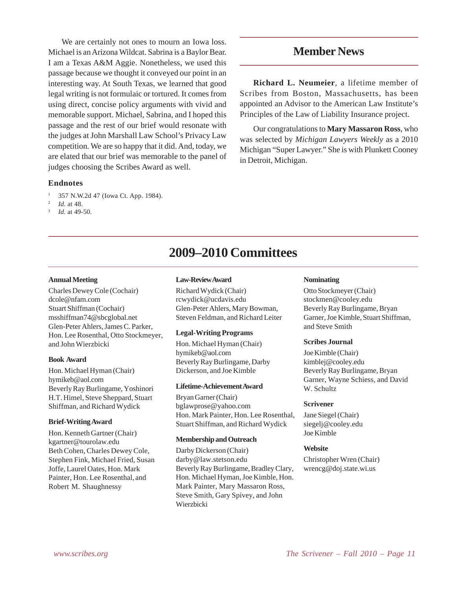We are certainly not ones to mourn an Iowa loss. Michael is an Arizona Wildcat. Sabrina is a Baylor Bear. I am a Texas A&M Aggie. Nonetheless, we used this passage because we thought it conveyed our point in an interesting way. At South Texas, we learned that good legal writing is not formulaic or tortured. It comes from using direct, concise policy arguments with vivid and memorable support. Michael, Sabrina, and I hoped this passage and the rest of our brief would resonate with the judges at John Marshall Law School's Privacy Law competition. We are so happy that it did. And, today, we are elated that our brief was memorable to the panel of judges choosing the Scribes Award as well.

## **Endnotes**

- <sup>1</sup> 357 N.W.2d 47 (Iowa Ct. App. 1984).
- *Id.* at 48.
- *Id.* at 49-50.

### **Annual Meeting**

Charles Dewey Cole (Cochair) dcole@nfam.com Stuart Shiffman (Cochair) msshiffman74@sbcglobal.net Glen-Peter Ahlers, James C. Parker, Hon. Lee Rosenthal, Otto Stockmeyer, and John Wierzbicki

#### **Book Award**

Hon. Michael Hyman (Chair) hymikeb@aol.com Beverly Ray Burlingame, Yoshinori H.T. Himel, Steve Sheppard, Stuart Shiffman, and Richard Wydick

### **Brief-Writing Award**

Hon. Kenneth Gartner (Chair) kgartner@tourolaw.edu Beth Cohen, Charles Dewey Cole, Stephen Fink, Michael Fried, Susan Joffe, Laurel Oates, Hon. Mark Painter, Hon. Lee Rosenthal, and Robert M. Shaughnessy

#### **Law-Review Award**

Richard Wydick (Chair) rcwydick@ucdavis.edu Glen-Peter Ahlers, Mary Bowman, Steven Feldman, and Richard Leiter

**2009–2010 Committees**

#### **Legal-Writing Programs**

Hon. Michael Hyman (Chair) hymikeb@aol.com Beverly Ray Burlingame, Darby Dickerson, and Joe Kimble

### **Lifetime-Achievement Award**

Bryan Garner (Chair) bglawprose@yahoo.com Hon. Mark Painter, Hon. Lee Rosenthal, Stuart Shiffman, and Richard Wydick

#### **Membership and Outreach**

Darby Dickerson (Chair) darby@law.stetson.edu Beverly Ray Burlingame, Bradley Clary, Hon. Michael Hyman, Joe Kimble, Hon. Mark Painter, Mary Massaron Ross, Steve Smith, Gary Spivey, and John Wierzbicki

## **Member News**

**Richard L. Neumeier**, a lifetime member of Scribes from Boston, Massachusetts, has been appointed an Advisor to the American Law Institute's Principles of the Law of Liability Insurance project.

Our congratulations to **Mary Massaron Ross**, who was selected by *Michigan Lawyers Weekly* as a 2010 Michigan "Super Lawyer." She is with Plunkett Cooney in Detroit, Michigan.

#### **Nominating**

Otto Stockmeyer (Chair) stockmen@cooley.edu Beverly Ray Burlingame, Bryan Garner, Joe Kimble, Stuart Shiffman, and Steve Smith

#### **Scribes Journal**

Joe Kimble (Chair) kimblej@cooley.edu Beverly Ray Burlingame, Bryan Garner, Wayne Schiess, and David W. Schultz

#### **Scrivener**

Jane Siegel (Chair) siegelj@cooley.edu Joe Kimble

#### **Website**

Christopher Wren (Chair) wrencg@doj.state.wi.us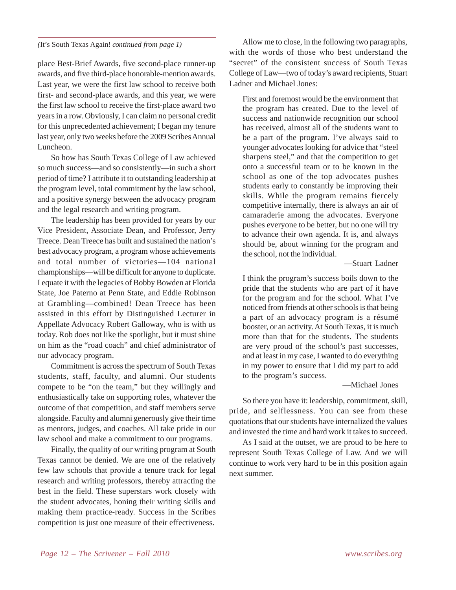## *(*It's South Texas Again! *continued from page 1)*

place Best-Brief Awards, five second-place runner-up awards, and five third-place honorable-mention awards. Last year, we were the first law school to receive both first- and second-place awards, and this year, we were the first law school to receive the first-place award two years in a row. Obviously, I can claim no personal credit for this unprecedented achievement; I began my tenure last year, only two weeks before the 2009 Scribes Annual Luncheon.

So how has South Texas College of Law achieved so much success—and so consistently—in such a short period of time? I attribute it to outstanding leadership at the program level, total commitment by the law school, and a positive synergy between the advocacy program and the legal research and writing program.

The leadership has been provided for years by our Vice President, Associate Dean, and Professor, Jerry Treece. Dean Treece has built and sustained the nation's best advocacy program, a program whose achievements and total number of victories—104 national championships—will be difficult for anyone to duplicate. I equate it with the legacies of Bobby Bowden at Florida State, Joe Paterno at Penn State, and Eddie Robinson at Grambling—combined! Dean Treece has been assisted in this effort by Distinguished Lecturer in Appellate Advocacy Robert Galloway, who is with us today. Rob does not like the spotlight, but it must shine on him as the "road coach" and chief administrator of our advocacy program.

Commitment is across the spectrum of South Texas students, staff, faculty, and alumni. Our students compete to be "on the team," but they willingly and enthusiastically take on supporting roles, whatever the outcome of that competition, and staff members serve alongside. Faculty and alumni generously give their time as mentors, judges, and coaches. All take pride in our law school and make a commitment to our programs.

Finally, the quality of our writing program at South Texas cannot be denied. We are one of the relatively few law schools that provide a tenure track for legal research and writing professors, thereby attracting the best in the field. These superstars work closely with the student advocates, honing their writing skills and making them practice-ready. Success in the Scribes competition is just one measure of their effectiveness.

Allow me to close, in the following two paragraphs, with the words of those who best understand the "secret" of the consistent success of South Texas College of Law—two of today's award recipients, Stuart Ladner and Michael Jones:

First and foremost would be the environment that the program has created. Due to the level of success and nationwide recognition our school has received, almost all of the students want to be a part of the program. I've always said to younger advocates looking for advice that "steel sharpens steel," and that the competition to get onto a successful team or to be known in the school as one of the top advocates pushes students early to constantly be improving their skills. While the program remains fiercely competitive internally, there is always an air of camaraderie among the advocates. Everyone pushes everyone to be better, but no one will try to advance their own agenda. It is, and always should be, about winning for the program and the school, not the individual.

—Stuart Ladner

I think the program's success boils down to the pride that the students who are part of it have for the program and for the school. What I've noticed from friends at other schools is that being a part of an advocacy program is a résumé booster, or an activity. At South Texas, it is much more than that for the students. The students are very proud of the school's past successes, and at least in my case, I wanted to do everything in my power to ensure that I did my part to add to the program's success.

## —Michael Jones

So there you have it: leadership, commitment, skill, pride, and selflessness. You can see from these quotations that our students have internalized the values and invested the time and hard work it takes to succeed.

As I said at the outset, we are proud to be here to represent South Texas College of Law. And we will continue to work very hard to be in this position again next summer.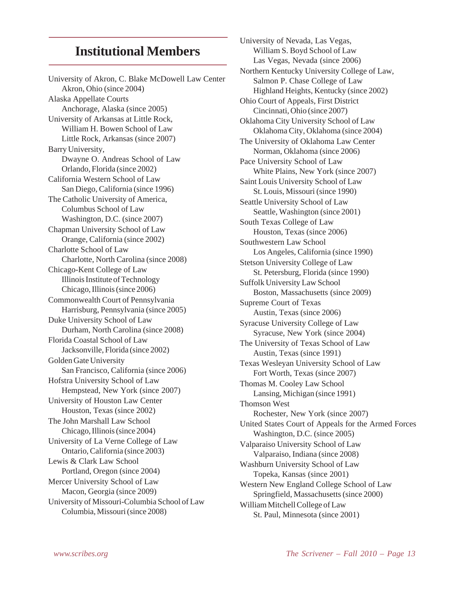## **Institutional Members**

University of Akron, C. Blake McDowell Law Center Akron, Ohio (since 2004) Alaska Appellate Courts Anchorage, Alaska (since 2005) University of Arkansas at Little Rock, William H. Bowen School of Law Little Rock, Arkansas (since 2007) Barry University, Dwayne O. Andreas School of Law Orlando, Florida (since 2002) California Western School of Law San Diego, California (since 1996) The Catholic University of America, Columbus School of Law Washington, D.C. (since 2007) Chapman University School of Law Orange, California (since 2002) Charlotte School of Law Charlotte, North Carolina (since 2008) Chicago-Kent College of Law Illinois Institute of Technology Chicago, Illinois (since 2006) Commonwealth Court of Pennsylvania Harrisburg, Pennsylvania (since 2005) Duke University School of Law Durham, North Carolina (since 2008) Florida Coastal School of Law Jacksonville, Florida (since 2002) Golden Gate University San Francisco, California (since 2006) Hofstra University School of Law Hempstead, New York (since 2007) University of Houston Law Center Houston, Texas (since 2002) The John Marshall Law School Chicago, Illinois (since 2004) University of La Verne College of Law Ontario, California (since 2003) Lewis & Clark Law School Portland, Oregon (since 2004) Mercer University School of Law Macon, Georgia (since 2009) University of Missouri-Columbia School of Law Columbia, Missouri (since 2008)

University of Nevada, Las Vegas, William S. Boyd School of Law Las Vegas, Nevada (since 2006) Northern Kentucky University College of Law, Salmon P. Chase College of Law Highland Heights, Kentucky (since 2002) Ohio Court of Appeals, First District Cincinnati, Ohio (since 2007) Oklahoma City University School of Law Oklahoma City, Oklahoma (since 2004) The University of Oklahoma Law Center Norman, Oklahoma (since 2006) Pace University School of Law White Plains, New York (since 2007) Saint Louis University School of Law St. Louis, Missouri (since 1990) Seattle University School of Law Seattle, Washington (since 2001) South Texas College of Law Houston, Texas (since 2006) Southwestern Law School Los Angeles, California (since 1990) Stetson University College of Law St. Petersburg, Florida (since 1990) Suffolk University Law School Boston, Massachusetts (since 2009) Supreme Court of Texas Austin, Texas (since 2006) Syracuse University College of Law Syracuse, New York (since 2004) The University of Texas School of Law Austin, Texas (since 1991) Texas Wesleyan University School of Law Fort Worth, Texas (since 2007) Thomas M. Cooley Law School Lansing, Michigan (since 1991) Thomson West Rochester, New York (since 2007) United States Court of Appeals for the Armed Forces Washington, D.C. (since 2005) Valparaiso University School of Law Valparaiso, Indiana (since 2008) Washburn University School of Law Topeka, Kansas (since 2001) Western New England College School of Law Springfield, Massachusetts (since 2000) William Mitchell College of Law St. Paul, Minnesota (since 2001)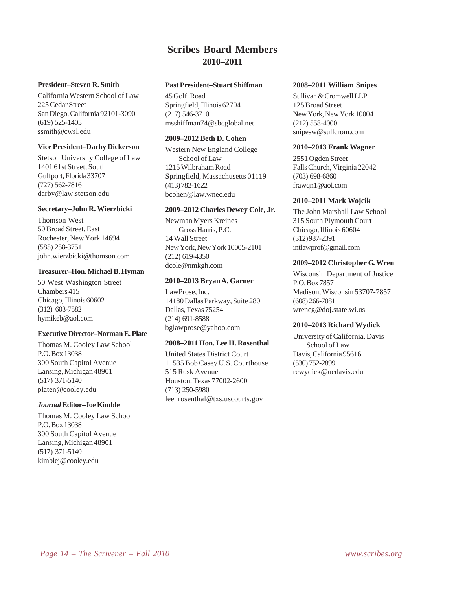## **Scribes Board Members 2010–2011**

## **President–Steven R. Smith**

California Western School of Law 225 Cedar Street San Diego, California 92101-3090 (619) 525-1405 ssmith@cwsl.edu

### **Vice President–Darby Dickerson**

Stetson University College of Law 1401 61st Street, South Gulfport, Florida 33707 (727) 562-7816 darby@law.stetson.edu

### **Secretary–John R. Wierzbicki**

Thomson West 50 Broad Street, East Rochester, New York 14694 (585) 258-3751 john.wierzbicki@thomson.com

### **Treasurer–Hon. Michael B. Hyman**

50 West Washington Street Chambers 415 Chicago, Illinois 60602 (312) 603-7582 hymikeb@aol.com

## **Executive Director–Norman E. Plate**

Thomas M. Cooley Law School P.O. Box 13038 300 South Capitol Avenue Lansing, Michigan 48901 (517) 371-5140 platen@cooley.edu

### *Journal* **Editor–Joe Kimble**

Thomas M. Cooley Law School P.O. Box 13038 300 South Capitol Avenue Lansing, Michigan 48901 (517) 371-5140 kimblej@cooley.edu

## **Past President–Stuart Shiffman**

45 Golf Road Springfield, Illinois 62704 (217) 546-3710 msshiffman74@sbcglobal.net

## **2009–2012 Beth D. Cohen**

Western New England College School of Law 1215 Wilbraham Road Springfield, Massachusetts 01119 (413) 782-1622 bcohen@law.wnec.edu

#### **2009–2012 Charles Dewey Cole, Jr.**

Newman Myers Kreines Gross Harris, P.C. 14 Wall Street New York, New York 10005-2101 (212) 619-4350 dcole@nmkgh.com

### **2010–2013 Bryan A. Garner**

LawProse, Inc. 14180 Dallas Parkway, Suite 280 Dallas, Texas 75254 (214) 691-8588 bglawprose@yahoo.com

## **2008–2011 Hon. Lee H. Rosenthal**

United States District Court 11535 Bob Casey U.S. Courthouse 515 Rusk Avenue Houston, Texas 77002-2600 (713) 250-5980 lee\_rosenthal@txs.uscourts.gov

### **2008–2011 William Snipes**

Sullivan & Cromwell LLP 125 Broad Street New York, New York 10004 (212) 558-4000 snipesw@sullcrom.com

### **2010–2013 Frank Wagner**

2551 Ogden Street Falls Church, Virginia 22042 (703) 698-6860 frawqn1@aol.com

### **2010–2011 Mark Wojcik**

The John Marshall Law School 315 South Plymouth Court Chicago, Illinois 60604 (312) 987-2391 intlawprof@gmail.com

### **2009–2012 Christopher G. Wren**

Wisconsin Department of Justice P.O. Box 7857 Madison, Wisconsin 53707-7857 (608) 266-7081 wrencg@doj.state.wi.us

### **2010–2013 Richard Wydick**

University of California, Davis School of Law Davis, California 95616 (530) 752-2899 rcwydick@ucdavis.edu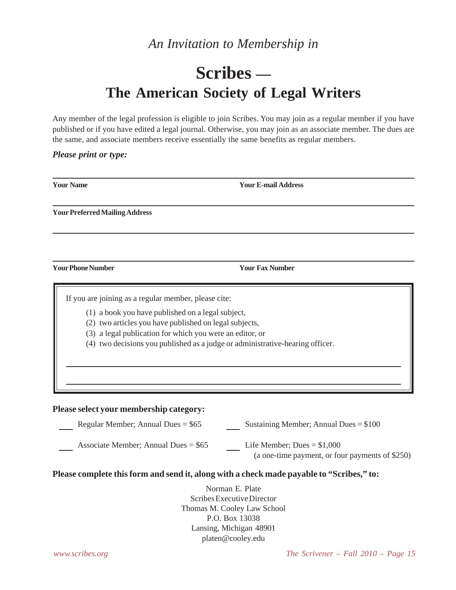# *An Invitation to Membership in*

# **Scribes — The American Society of Legal Writers**

Any member of the legal profession is eligible to join Scribes. You may join as a regular member if you have published or if you have edited a legal journal. Otherwise, you may join as an associate member. The dues are the same, and associate members receive essentially the same benefits as regular members.

## *Please print or type:*

| <b>Your Name</b>                                                                                                                                                    | <b>Your E-mail Address</b>                                                                                                                |
|---------------------------------------------------------------------------------------------------------------------------------------------------------------------|-------------------------------------------------------------------------------------------------------------------------------------------|
| <b>Your Preferred Mailing Address</b>                                                                                                                               |                                                                                                                                           |
|                                                                                                                                                                     |                                                                                                                                           |
| <b>Your Phone Number</b>                                                                                                                                            | <b>Your Fax Number</b>                                                                                                                    |
| If you are joining as a regular member, please cite:<br>(1) a book you have published on a legal subject,<br>(2) two articles you have published on legal subjects, | (3) a legal publication for which you were an editor, or<br>(4) two decisions you published as a judge or administrative-hearing officer. |
| Please select your membership category:                                                                                                                             |                                                                                                                                           |
| Regular Member; Annual Dues = $$65$                                                                                                                                 | Sustaining Member; Annual Dues = $$100$                                                                                                   |
| Associate Member; Annual Dues = $$65$                                                                                                                               | Life Member; Dues = $$1,000$<br>(a one-time payment, or four payments of \$250)                                                           |
|                                                                                                                                                                     | Please complete this form and send it, along with a check made payable to "Scribes," to:                                                  |
|                                                                                                                                                                     | Norman E. Plate<br>Scribes Executive Director<br>Thomas M. Cooley Law School<br>P.O. Box 13038                                            |

Lansing, Michigan 48901 platen@cooley.edu

*www.scribes.org The Scrivener – Fall 2010 – Page 15*